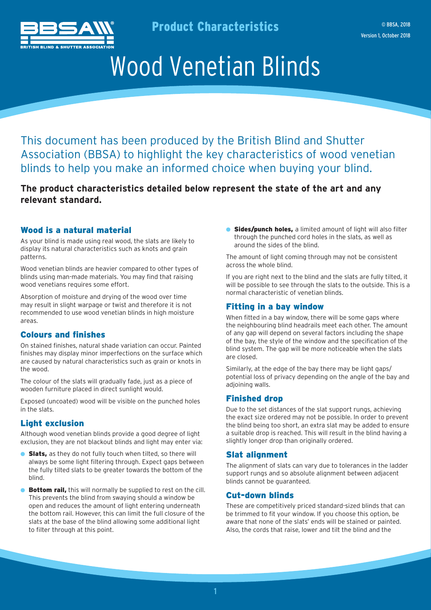

Product Characteristics

# Wood Venetian Blinds

This document has been produced by the British Blind and Shutter Association (BBSA) to highlight the key characteristics of wood venetian blinds to help you make an informed choice when buying your blind.

## **The product characteristics detailed below represent the state of the art and any relevant standard.**

### Wood is a natural material

As your blind is made using real wood, the slats are likely to display its natural characteristics such as knots and grain patterns.

Wood venetian blinds are heavier compared to other types of blinds using man-made materials. You may find that raising wood venetians requires some effort.

Absorption of moisture and drying of the wood over time may result in slight warpage or twist and therefore it is not recommended to use wood venetian blinds in high moisture areas.

### Colours and finishes

On stained finishes, natural shade variation can occur. Painted finishes may display minor imperfections on the surface which are caused by natural characteristics such as grain or knots in the wood.

The colour of the slats will gradually fade, just as a piece of wooden furniture placed in direct sunlight would.

Exposed (uncoated) wood will be visible on the punched holes in the slats.

### Light exclusion

Although wood venetian blinds provide a good degree of light exclusion, they are not blackout blinds and light may enter via:

- **Slats,** as they do not fully touch when tilted, so there will always be some light filtering through. Expect gaps between the fully tilted slats to be greater towards the bottom of the blind.
- **Bottom rail,** this will normally be supplied to rest on the cill. This prevents the blind from swaying should a window be open and reduces the amount of light entering underneath the bottom rail. However, this can limit the full closure of the slats at the base of the blind allowing some additional light to filter through at this point.

**• Sides/punch holes,** a limited amount of light will also filter through the punched cord holes in the slats, as well as around the sides of the blind.

The amount of light coming through may not be consistent across the whole blind.

If you are right next to the blind and the slats are fully tilted, it will be possible to see through the slats to the outside. This is a normal characteristic of venetian blinds.

### Fitting in a bay window

When fitted in a bay window, there will be some gaps where the neighbouring blind headrails meet each other. The amount of any gap will depend on several factors including the shape of the bay, the style of the window and the specification of the blind system. The gap will be more noticeable when the slats are closed.

Similarly, at the edge of the bay there may be light gaps/ potential loss of privacy depending on the angle of the bay and adjoining walls.

### Finished drop

Due to the set distances of the slat support rungs, achieving the exact size ordered may not be possible. In order to prevent the blind being too short, an extra slat may be added to ensure a suitable drop is reached. This will result in the blind having a slightly longer drop than originally ordered.

### Slat alignment

The alignment of slats can vary due to tolerances in the ladder support rungs and so absolute alignment between adjacent blinds cannot be guaranteed.

### Cut-down blinds

These are competitively priced standard-sized blinds that can be trimmed to fit your window. If you choose this option, be aware that none of the slats' ends will be stained or painted. Also, the cords that raise, lower and tilt the blind and the